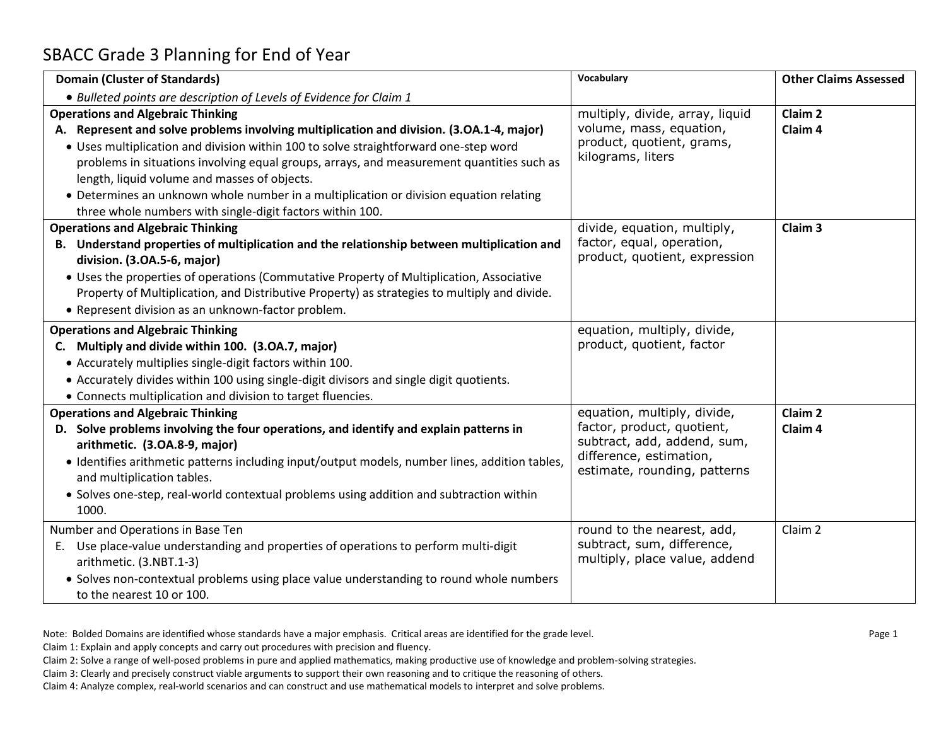## SBACC Grade 3 Planning for End of Year

| <b>Domain (Cluster of Standards)</b>                                                                                                                                                                                                                                                                                                                                                                                                                                                                                             | <b>Vocabulary</b>                                                                                                                                   | <b>Other Claims Assessed</b>             |
|----------------------------------------------------------------------------------------------------------------------------------------------------------------------------------------------------------------------------------------------------------------------------------------------------------------------------------------------------------------------------------------------------------------------------------------------------------------------------------------------------------------------------------|-----------------------------------------------------------------------------------------------------------------------------------------------------|------------------------------------------|
| • Bulleted points are description of Levels of Evidence for Claim 1                                                                                                                                                                                                                                                                                                                                                                                                                                                              |                                                                                                                                                     |                                          |
| <b>Operations and Algebraic Thinking</b><br>A. Represent and solve problems involving multiplication and division. (3.0A.1-4, major)<br>. Uses multiplication and division within 100 to solve straightforward one-step word<br>problems in situations involving equal groups, arrays, and measurement quantities such as<br>length, liquid volume and masses of objects.<br>• Determines an unknown whole number in a multiplication or division equation relating<br>three whole numbers with single-digit factors within 100. | multiply, divide, array, liquid<br>volume, mass, equation,<br>product, quotient, grams,<br>kilograms, liters                                        | Claim <sub>2</sub><br>Claim <sub>4</sub> |
| <b>Operations and Algebraic Thinking</b><br>B. Understand properties of multiplication and the relationship between multiplication and<br>division. (3.OA.5-6, major)<br>• Uses the properties of operations (Commutative Property of Multiplication, Associative<br>Property of Multiplication, and Distributive Property) as strategies to multiply and divide.<br>• Represent division as an unknown-factor problem.                                                                                                          | divide, equation, multiply,<br>factor, equal, operation,<br>product, quotient, expression                                                           | Claim <sub>3</sub>                       |
| <b>Operations and Algebraic Thinking</b><br>C. Multiply and divide within 100. (3.0A.7, major)<br>• Accurately multiplies single-digit factors within 100.<br>• Accurately divides within 100 using single-digit divisors and single digit quotients.<br>• Connects multiplication and division to target fluencies.                                                                                                                                                                                                             | equation, multiply, divide,<br>product, quotient, factor                                                                                            |                                          |
| <b>Operations and Algebraic Thinking</b><br>D. Solve problems involving the four operations, and identify and explain patterns in<br>arithmetic. (3.OA.8-9, major)<br>• Identifies arithmetic patterns including input/output models, number lines, addition tables,<br>and multiplication tables.<br>• Solves one-step, real-world contextual problems using addition and subtraction within<br>1000.                                                                                                                           | equation, multiply, divide,<br>factor, product, quotient,<br>subtract, add, addend, sum,<br>difference, estimation,<br>estimate, rounding, patterns | Claim <sub>2</sub><br>Claim <sub>4</sub> |
| Number and Operations in Base Ten<br>E. Use place-value understanding and properties of operations to perform multi-digit<br>arithmetic. (3.NBT.1-3)<br>• Solves non-contextual problems using place value understanding to round whole numbers<br>to the nearest 10 or 100.                                                                                                                                                                                                                                                     | round to the nearest, add,<br>subtract, sum, difference,<br>multiply, place value, addend                                                           | Claim 2                                  |

Note: Bolded Domains are identified whose standards have a major emphasis. Critical areas are identified for the grade level.

Claim 1: Explain and apply concepts and carry out procedures with precision and fluency.

Claim 2: Solve a range of well-posed problems in pure and applied mathematics, making productive use of knowledge and problem-solving strategies.

Claim 3: Clearly and precisely construct viable arguments to support their own reasoning and to critique the reasoning of others.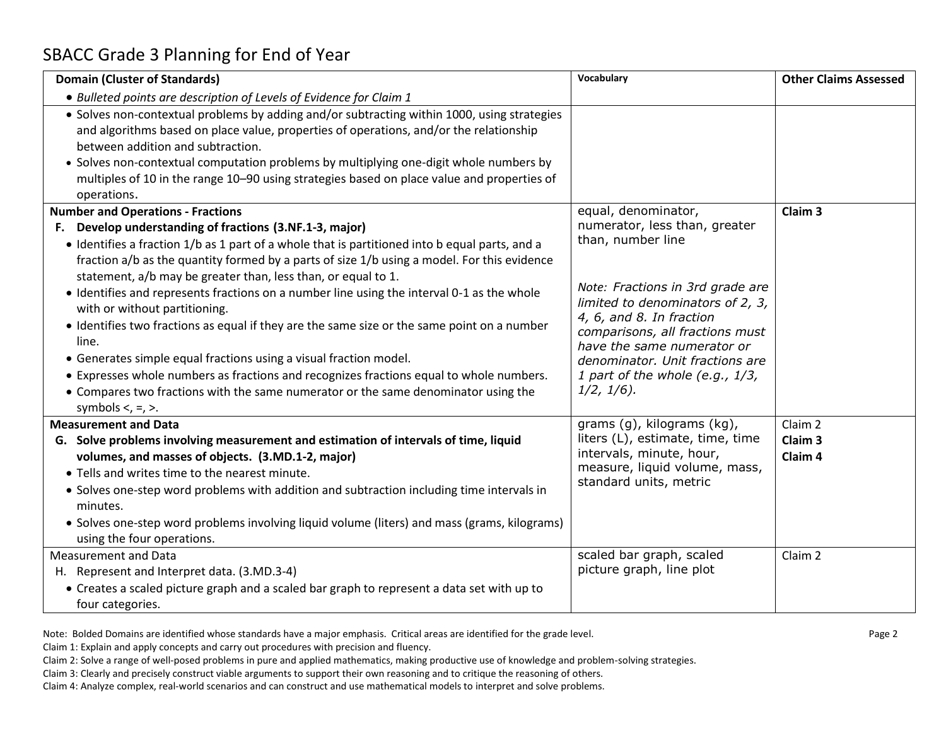## SBACC Grade 3 Planning for End of Year

| <b>Domain (Cluster of Standards)</b>                                                                                                                                                                                                                                                                                                                                                                                                                                                                                                                                                                                                                                                                                                                                                                                                                    | Vocabulary                                                                                                                                                                                                                                                                                                           | <b>Other Claims Assessed</b>             |
|---------------------------------------------------------------------------------------------------------------------------------------------------------------------------------------------------------------------------------------------------------------------------------------------------------------------------------------------------------------------------------------------------------------------------------------------------------------------------------------------------------------------------------------------------------------------------------------------------------------------------------------------------------------------------------------------------------------------------------------------------------------------------------------------------------------------------------------------------------|----------------------------------------------------------------------------------------------------------------------------------------------------------------------------------------------------------------------------------------------------------------------------------------------------------------------|------------------------------------------|
| • Bulleted points are description of Levels of Evidence for Claim 1                                                                                                                                                                                                                                                                                                                                                                                                                                                                                                                                                                                                                                                                                                                                                                                     |                                                                                                                                                                                                                                                                                                                      |                                          |
| • Solves non-contextual problems by adding and/or subtracting within 1000, using strategies<br>and algorithms based on place value, properties of operations, and/or the relationship<br>between addition and subtraction.<br>• Solves non-contextual computation problems by multiplying one-digit whole numbers by<br>multiples of 10 in the range 10-90 using strategies based on place value and properties of<br>operations.                                                                                                                                                                                                                                                                                                                                                                                                                       |                                                                                                                                                                                                                                                                                                                      |                                          |
| <b>Number and Operations - Fractions</b>                                                                                                                                                                                                                                                                                                                                                                                                                                                                                                                                                                                                                                                                                                                                                                                                                | equal, denominator,                                                                                                                                                                                                                                                                                                  | Claim <sub>3</sub>                       |
| F. Develop understanding of fractions (3.NF.1-3, major)<br>• Identifies a fraction 1/b as 1 part of a whole that is partitioned into b equal parts, and a<br>fraction a/b as the quantity formed by a parts of size 1/b using a model. For this evidence<br>statement, a/b may be greater than, less than, or equal to 1.<br>• Identifies and represents fractions on a number line using the interval 0-1 as the whole<br>with or without partitioning.<br>• Identifies two fractions as equal if they are the same size or the same point on a number<br>line.<br>• Generates simple equal fractions using a visual fraction model.<br>• Expresses whole numbers as fractions and recognizes fractions equal to whole numbers.<br>• Compares two fractions with the same numerator or the same denominator using the<br>symbols $\lt$ , $=$ , $\gt$ . | numerator, less than, greater<br>than, number line<br>Note: Fractions in 3rd grade are<br>limited to denominators of 2, 3,<br>4, 6, and 8. In fraction<br>comparisons, all fractions must<br>have the same numerator or<br>denominator. Unit fractions are<br>1 part of the whole (e.g., $1/3$ ,<br>$1/2$ , $1/6$ ). |                                          |
| <b>Measurement and Data</b>                                                                                                                                                                                                                                                                                                                                                                                                                                                                                                                                                                                                                                                                                                                                                                                                                             | grams (g), kilograms (kg),                                                                                                                                                                                                                                                                                           | Claim 2                                  |
| G. Solve problems involving measurement and estimation of intervals of time, liquid<br>volumes, and masses of objects. (3.MD.1-2, major)<br>. Tells and writes time to the nearest minute.<br>• Solves one-step word problems with addition and subtraction including time intervals in<br>minutes.<br>• Solves one-step word problems involving liquid volume (liters) and mass (grams, kilograms)<br>using the four operations.                                                                                                                                                                                                                                                                                                                                                                                                                       | liters (L), estimate, time, time<br>intervals, minute, hour,<br>measure, liquid volume, mass,<br>standard units, metric                                                                                                                                                                                              | Claim <sub>3</sub><br>Claim <sub>4</sub> |
| <b>Measurement and Data</b>                                                                                                                                                                                                                                                                                                                                                                                                                                                                                                                                                                                                                                                                                                                                                                                                                             | scaled bar graph, scaled                                                                                                                                                                                                                                                                                             | Claim 2                                  |
| H. Represent and Interpret data. (3.MD.3-4)                                                                                                                                                                                                                                                                                                                                                                                                                                                                                                                                                                                                                                                                                                                                                                                                             | picture graph, line plot                                                                                                                                                                                                                                                                                             |                                          |
| • Creates a scaled picture graph and a scaled bar graph to represent a data set with up to<br>four categories.                                                                                                                                                                                                                                                                                                                                                                                                                                                                                                                                                                                                                                                                                                                                          |                                                                                                                                                                                                                                                                                                                      |                                          |

Note: Bolded Domains are identified whose standards have a major emphasis. Critical areas are identified for the grade level.

Claim 1: Explain and apply concepts and carry out procedures with precision and fluency.

Claim 2: Solve a range of well-posed problems in pure and applied mathematics, making productive use of knowledge and problem-solving strategies.

Claim 3: Clearly and precisely construct viable arguments to support their own reasoning and to critique the reasoning of others.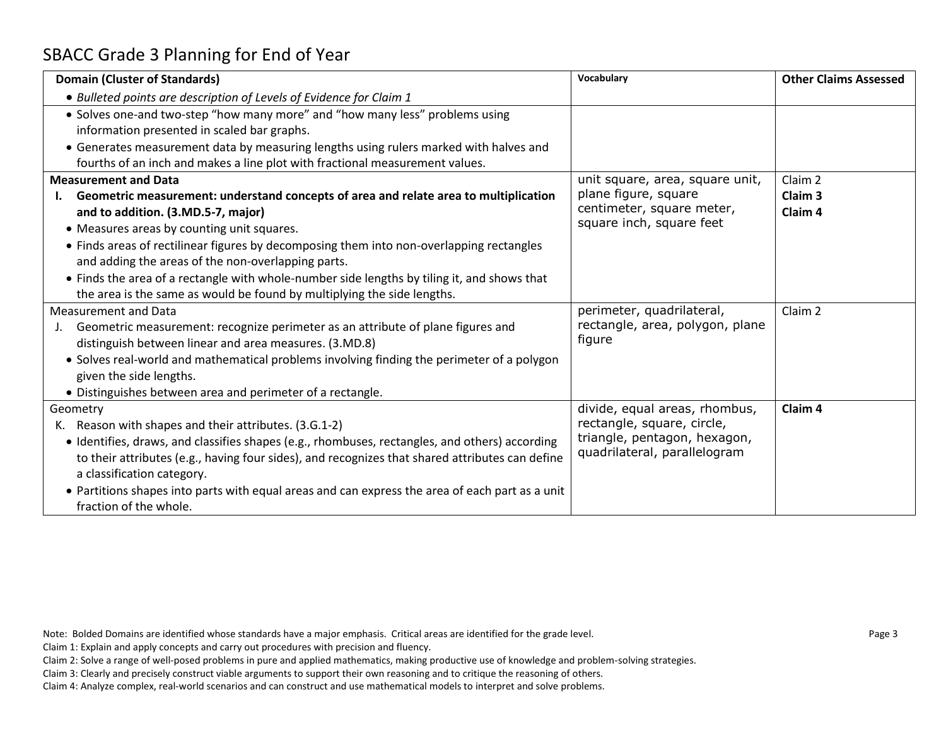## SBACC Grade 3 Planning for End of Year

| <b>Domain (Cluster of Standards)</b>                                                            | Vocabulary                                                   | <b>Other Claims Assessed</b> |
|-------------------------------------------------------------------------------------------------|--------------------------------------------------------------|------------------------------|
| • Bulleted points are description of Levels of Evidence for Claim 1                             |                                                              |                              |
| • Solves one-and two-step "how many more" and "how many less" problems using                    |                                                              |                              |
| information presented in scaled bar graphs.                                                     |                                                              |                              |
| • Generates measurement data by measuring lengths using rulers marked with halves and           |                                                              |                              |
| fourths of an inch and makes a line plot with fractional measurement values.                    |                                                              |                              |
| <b>Measurement and Data</b>                                                                     | unit square, area, square unit,                              | Claim 2                      |
| Geometric measurement: understand concepts of area and relate area to multiplication            | plane figure, square                                         | Claim <sub>3</sub>           |
| and to addition. (3.MD.5-7, major)                                                              | centimeter, square meter,<br>square inch, square feet        | Claim <sub>4</sub>           |
| • Measures areas by counting unit squares.                                                      |                                                              |                              |
| • Finds areas of rectilinear figures by decomposing them into non-overlapping rectangles        |                                                              |                              |
| and adding the areas of the non-overlapping parts.                                              |                                                              |                              |
| • Finds the area of a rectangle with whole-number side lengths by tiling it, and shows that     |                                                              |                              |
| the area is the same as would be found by multiplying the side lengths.                         |                                                              |                              |
| <b>Measurement and Data</b>                                                                     | perimeter, quadrilateral,                                    | Claim 2                      |
| Geometric measurement: recognize perimeter as an attribute of plane figures and                 | rectangle, area, polygon, plane                              |                              |
| distinguish between linear and area measures. (3.MD.8)                                          | figure                                                       |                              |
| • Solves real-world and mathematical problems involving finding the perimeter of a polygon      |                                                              |                              |
| given the side lengths.                                                                         |                                                              |                              |
| • Distinguishes between area and perimeter of a rectangle.                                      |                                                              |                              |
| Geometry                                                                                        | divide, equal areas, rhombus,                                | Claim <sub>4</sub>           |
| K. Reason with shapes and their attributes. (3.G.1-2)                                           | rectangle, square, circle,                                   |                              |
| • Identifies, draws, and classifies shapes (e.g., rhombuses, rectangles, and others) according  | triangle, pentagon, hexagon,<br>quadrilateral, parallelogram |                              |
| to their attributes (e.g., having four sides), and recognizes that shared attributes can define |                                                              |                              |
| a classification category.                                                                      |                                                              |                              |
| • Partitions shapes into parts with equal areas and can express the area of each part as a unit |                                                              |                              |
| fraction of the whole.                                                                          |                                                              |                              |

Note: Bolded Domains are identified whose standards have a major emphasis. Critical areas are identified for the grade level.

Claim 1: Explain and apply concepts and carry out procedures with precision and fluency.

Claim 2: Solve a range of well-posed problems in pure and applied mathematics, making productive use of knowledge and problem-solving strategies.

Claim 3: Clearly and precisely construct viable arguments to support their own reasoning and to critique the reasoning of others.